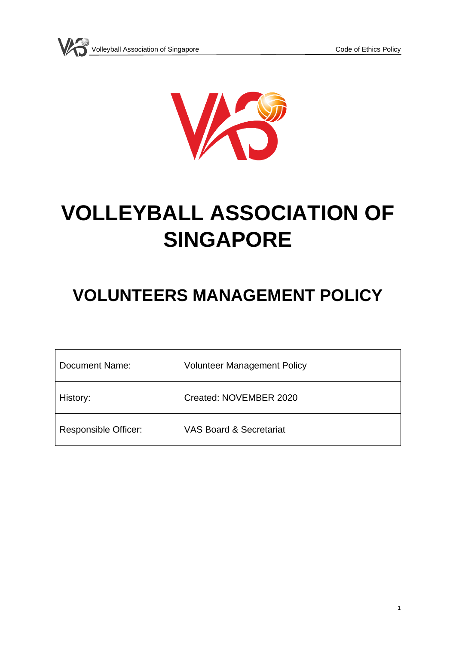

# **VOLLEYBALL ASSOCIATION OF SINGAPORE**

## **VOLUNTEERS MANAGEMENT POLICY**

| Document Name:       | <b>Volunteer Management Policy</b> |
|----------------------|------------------------------------|
| History:             | Created: NOVEMBER 2020             |
| Responsible Officer: | <b>VAS Board &amp; Secretariat</b> |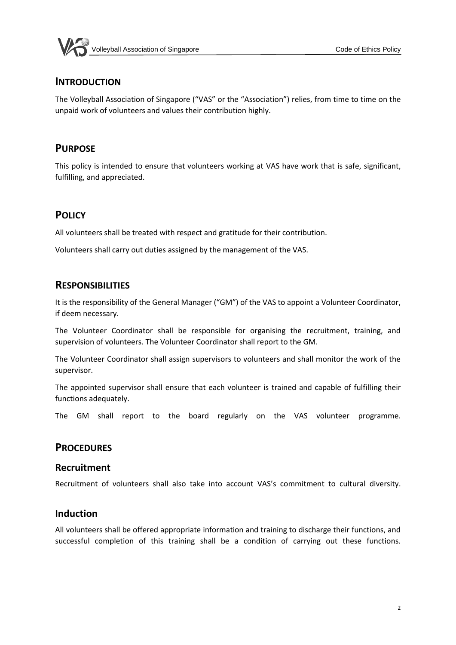

#### **INTRODUCTION**

The Volleyball Association of Singapore ("VAS" or the "Association") relies, from time to time on the unpaid work of volunteers and values their contribution highly.

#### **PURPOSE**

This policy is intended to ensure that volunteers working at VAS have work that is safe, significant, fulfilling, and appreciated.

#### **POLICY**

All volunteers shall be treated with respect and gratitude for their contribution.

Volunteers shall carry out duties assigned by the management of the VAS.

#### **RESPONSIBILITIES**

It is the responsibility of the General Manager ("GM") of the VAS to appoint a Volunteer Coordinator, if deem necessary.

The Volunteer Coordinator shall be responsible for organising the recruitment, training, and supervision of volunteers. The Volunteer Coordinator shall report to the GM.

The Volunteer Coordinator shall assign supervisors to volunteers and shall monitor the work of the supervisor.

The appointed supervisor shall ensure that each volunteer is trained and capable of fulfilling their functions adequately.

The GM shall report to the board regularly on the VAS volunteer programme.

#### **PROCEDURES**

#### **Recruitment**

Recruitment of volunteers shall also take into account VAS's commitment to cultural diversity.

#### **Induction**

All volunteers shall be offered appropriate information and training to discharge their functions, and successful completion of this training shall be a condition of carrying out these functions.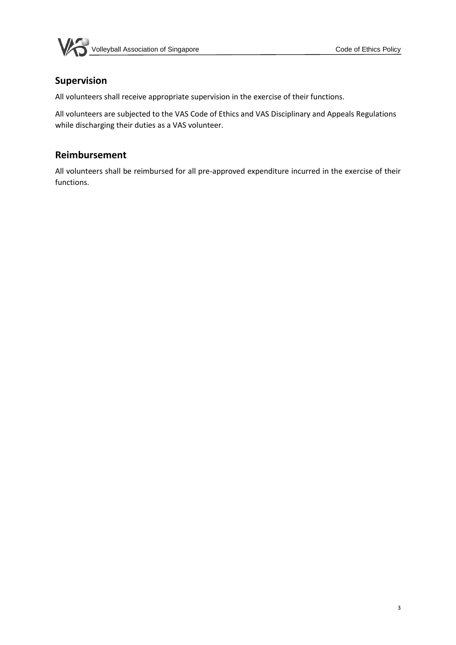



#### **Supervision**

All volunteers shall receive appropriate supervision in the exercise of their functions.

All volunteers are subjected to the VAS Code of Ethics and VAS Disciplinary and Appeals Regulations while discharging their duties as a VAS volunteer.

#### **Reimbursement**

All volunteers shall be reimbursed for all pre-approved expenditure incurred in the exercise of their functions.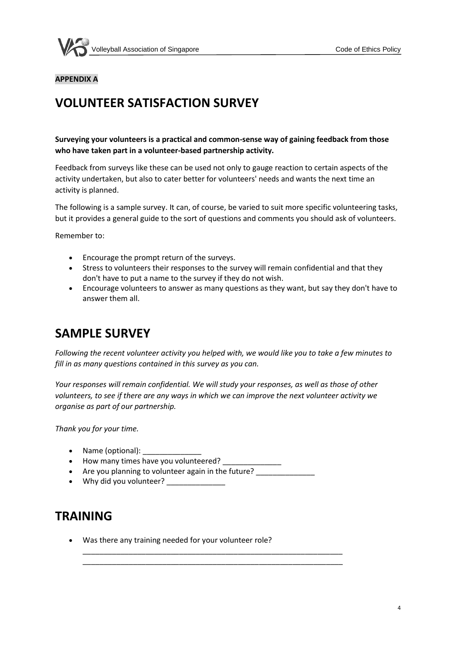

#### **APPENDIX A**

## **VOLUNTEER SATISFACTION SURVEY**

**Surveying your volunteers is a practical and common-sense way of gaining feedback from those who have taken part in a volunteer-based partnership activity.**

Feedback from surveys like these can be used not only to gauge reaction to certain aspects of the activity undertaken, but also to cater better for volunteers' needs and wants the next time an activity is planned.

The following is a sample survey. It can, of course, be varied to suit more specific volunteering tasks, but it provides a general guide to the sort of questions and comments you should ask of volunteers.

Remember to:

- Encourage the prompt return of the surveys.
- Stress to volunteers their responses to the survey will remain confidential and that they don't have to put a name to the survey if they do not wish.
- Encourage volunteers to answer as many questions as they want, but say they don't have to answer them all.

## **SAMPLE SURVEY**

*Following the recent volunteer activity you helped with, we would like you to take a few minutes to fill in as many questions contained in this survey as you can.*

*Your responses will remain confidential. We will study your responses, as well as those of other volunteers, to see if there are any ways in which we can improve the next volunteer activity we organise as part of our partnership.*

\_\_\_\_\_\_\_\_\_\_\_\_\_\_\_\_\_\_\_\_\_\_\_\_\_\_\_\_\_\_\_\_\_\_\_\_\_\_\_\_\_\_\_\_\_\_\_\_\_\_\_\_\_\_\_\_\_\_\_\_\_\_ \_\_\_\_\_\_\_\_\_\_\_\_\_\_\_\_\_\_\_\_\_\_\_\_\_\_\_\_\_\_\_\_\_\_\_\_\_\_\_\_\_\_\_\_\_\_\_\_\_\_\_\_\_\_\_\_\_\_\_\_\_\_

*Thank you for your time.*

- Name (optional):
- How many times have you volunteered? \_\_\_\_\_\_\_\_
- Are you planning to volunteer again in the future?
- Why did you volunteer?

### **TRAINING**

• Was there any training needed for your volunteer role?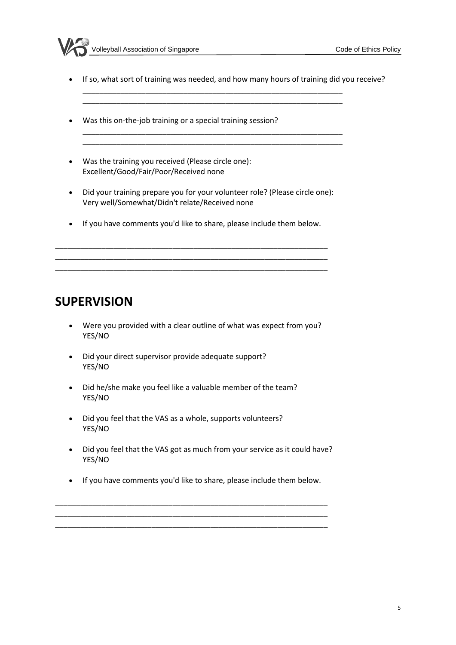

• If so, what sort of training was needed, and how many hours of training did you receive?

\_\_\_\_\_\_\_\_\_\_\_\_\_\_\_\_\_\_\_\_\_\_\_\_\_\_\_\_\_\_\_\_\_\_\_\_\_\_\_\_\_\_\_\_\_\_\_\_\_\_\_\_\_\_\_\_\_\_\_\_\_\_ \_\_\_\_\_\_\_\_\_\_\_\_\_\_\_\_\_\_\_\_\_\_\_\_\_\_\_\_\_\_\_\_\_\_\_\_\_\_\_\_\_\_\_\_\_\_\_\_\_\_\_\_\_\_\_\_\_\_\_\_\_\_

\_\_\_\_\_\_\_\_\_\_\_\_\_\_\_\_\_\_\_\_\_\_\_\_\_\_\_\_\_\_\_\_\_\_\_\_\_\_\_\_\_\_\_\_\_\_\_\_\_\_\_\_\_\_\_\_\_\_\_\_\_\_

- Was this on-the-job training or a special training session?
- Was the training you received (Please circle one): Excellent/Good/Fair/Poor/Received none
- Did your training prepare you for your volunteer role? (Please circle one): Very well/Somewhat/Didn't relate/Received none
- If you have comments you'd like to share, please include them below.

\_\_\_\_\_\_\_\_\_\_\_\_\_\_\_\_\_\_\_\_\_\_\_\_\_\_\_\_\_\_\_\_\_\_\_\_\_\_\_\_\_\_\_\_\_\_\_\_\_\_\_\_\_\_\_\_\_\_\_\_\_\_\_\_\_ \_\_\_\_\_\_\_\_\_\_\_\_\_\_\_\_\_\_\_\_\_\_\_\_\_\_\_\_\_\_\_\_\_\_\_\_\_\_\_\_\_\_\_\_\_\_\_\_\_\_\_\_\_\_\_\_\_\_\_\_\_\_\_\_\_ \_\_\_\_\_\_\_\_\_\_\_\_\_\_\_\_\_\_\_\_\_\_\_\_\_\_\_\_\_\_\_\_\_\_\_\_\_\_\_\_\_\_\_\_\_\_\_\_\_\_\_\_\_\_\_\_\_\_\_\_\_\_\_\_\_

## **SUPERVISION**

- Were you provided with a clear outline of what was expect from you? YES/NO
- Did your direct supervisor provide adequate support? YES/NO
- Did he/she make you feel like a valuable member of the team? YES/NO
- Did you feel that the VAS as a whole, supports volunteers? YES/NO
- Did you feel that the VAS got as much from your service as it could have? YES/NO
- If you have comments you'd like to share, please include them below.

\_\_\_\_\_\_\_\_\_\_\_\_\_\_\_\_\_\_\_\_\_\_\_\_\_\_\_\_\_\_\_\_\_\_\_\_\_\_\_\_\_\_\_\_\_\_\_\_\_\_\_\_\_\_\_\_\_\_\_\_\_\_\_\_\_ \_\_\_\_\_\_\_\_\_\_\_\_\_\_\_\_\_\_\_\_\_\_\_\_\_\_\_\_\_\_\_\_\_\_\_\_\_\_\_\_\_\_\_\_\_\_\_\_\_\_\_\_\_\_\_\_\_\_\_\_\_\_\_\_\_ \_\_\_\_\_\_\_\_\_\_\_\_\_\_\_\_\_\_\_\_\_\_\_\_\_\_\_\_\_\_\_\_\_\_\_\_\_\_\_\_\_\_\_\_\_\_\_\_\_\_\_\_\_\_\_\_\_\_\_\_\_\_\_\_\_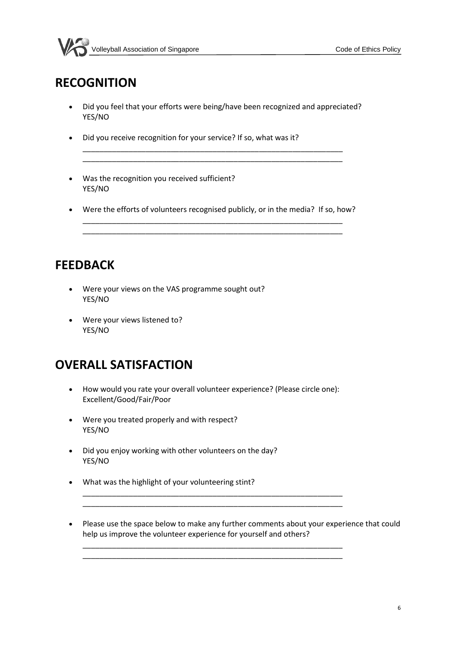

## **RECOGNITION**

• Did you feel that your efforts were being/have been recognized and appreciated? YES/NO

\_\_\_\_\_\_\_\_\_\_\_\_\_\_\_\_\_\_\_\_\_\_\_\_\_\_\_\_\_\_\_\_\_\_\_\_\_\_\_\_\_\_\_\_\_\_\_\_\_\_\_\_\_\_\_\_\_\_\_\_\_\_

- Did you receive recognition for your service? If so, what was it?
- Was the recognition you received sufficient? YES/NO
- Were the efforts of volunteers recognised publicly, or in the media? If so, how? \_\_\_\_\_\_\_\_\_\_\_\_\_\_\_\_\_\_\_\_\_\_\_\_\_\_\_\_\_\_\_\_\_\_\_\_\_\_\_\_\_\_\_\_\_\_\_\_\_\_\_\_\_\_\_\_\_\_\_\_\_\_

## **FEEDBACK**

- Were your views on the VAS programme sought out? YES/NO
- Were your views listened to? YES/NO

## **OVERALL SATISFACTION**

• How would you rate your overall volunteer experience? (Please circle one): Excellent/Good/Fair/Poor

\_\_\_\_\_\_\_\_\_\_\_\_\_\_\_\_\_\_\_\_\_\_\_\_\_\_\_\_\_\_\_\_\_\_\_\_\_\_\_\_\_\_\_\_\_\_\_\_\_\_\_\_\_\_\_\_\_\_\_\_\_\_ \_\_\_\_\_\_\_\_\_\_\_\_\_\_\_\_\_\_\_\_\_\_\_\_\_\_\_\_\_\_\_\_\_\_\_\_\_\_\_\_\_\_\_\_\_\_\_\_\_\_\_\_\_\_\_\_\_\_\_\_\_\_

\_\_\_\_\_\_\_\_\_\_\_\_\_\_\_\_\_\_\_\_\_\_\_\_\_\_\_\_\_\_\_\_\_\_\_\_\_\_\_\_\_\_\_\_\_\_\_\_\_\_\_\_\_\_\_\_\_\_\_\_\_\_ \_\_\_\_\_\_\_\_\_\_\_\_\_\_\_\_\_\_\_\_\_\_\_\_\_\_\_\_\_\_\_\_\_\_\_\_\_\_\_\_\_\_\_\_\_\_\_\_\_\_\_\_\_\_\_\_\_\_\_\_\_\_

- Were you treated properly and with respect? YES/NO
- Did you enjoy working with other volunteers on the day? YES/NO
- What was the highlight of your volunteering stint?
- Please use the space below to make any further comments about your experience that could help us improve the volunteer experience for yourself and others?